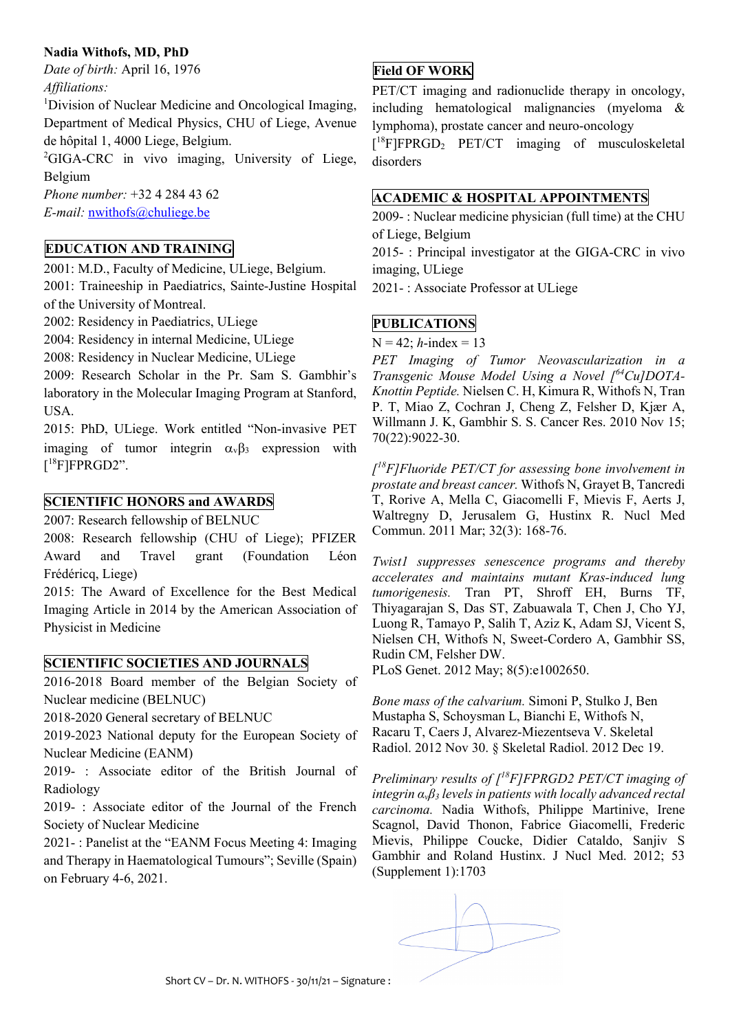### **Nadia Withofs, MD, PhD**

*Date of birth:* April 16, 1976 *Affiliations:*

<sup>1</sup>Division of Nuclear Medicine and Oncological Imaging, Department of Medical Physics, CHU of Liege, Avenue de hôpital 1, 4000 Liege, Belgium.

<sup>2</sup>GIGA-CRC in vivo imaging, University of Liege, Belgium

*Phone number:* +32 4 284 43 62 *E-mail:* nwithofs@chuliege.be

# **EDUCATION AND TRAINING**

2001: M.D., Faculty of Medicine, ULiege, Belgium.

2001: Traineeship in Paediatrics, Sainte-Justine Hospital of the University of Montreal.

2002: Residency in Paediatrics, ULiege

2004: Residency in internal Medicine, ULiege

2008: Residency in Nuclear Medicine, ULiege

2009: Research Scholar in the Pr. Sam S. Gambhir's laboratory in the Molecular Imaging Program at Stanford, USA.

2015: PhD, ULiege. Work entitled "Non-invasive PET imaging of tumor integrin  $\alpha_{\nu}\beta_3$  expression with  $[^{18}$ F]FPRGD2".

#### **SCIENTIFIC HONORS and AWARDS**

2007: Research fellowship of BELNUC

2008: Research fellowship (CHU of Liege); PFIZER Award and Travel grant (Foundation Léon Frédéricq, Liege)

2015: The Award of Excellence for the Best Medical Imaging Article in 2014 by the American Association of Physicist in Medicine

### **SCIENTIFIC SOCIETIES AND JOURNALS**

2016-2018 Board member of the Belgian Society of Nuclear medicine (BELNUC)

2018-2020 General secretary of BELNUC

2019-2023 National deputy for the European Society of Nuclear Medicine (EANM)

2019- : Associate editor of the British Journal of Radiology

2019- : Associate editor of the Journal of the French Society of Nuclear Medicine

2021- : Panelist at the "EANM Focus Meeting 4: Imaging and Therapy in Haematological Tumours"; Seville (Spain) on February 4-6, 2021.

### **Field OF WORK**

PET/CT imaging and radionuclide therapy in oncology, including hematological malignancies (myeloma & lymphoma), prostate cancer and neuro-oncology

[ 18F]FPRGD2 PET/CT imaging of musculoskeletal disorders

# **ACADEMIC & HOSPITAL APPOINTMENTS**

2009- : Nuclear medicine physician (full time) at the CHU of Liege, Belgium

2015- : Principal investigator at the GIGA-CRC in vivo imaging, ULiege

2021- : Associate Professor at ULiege

#### **PUBLICATIONS**

 $N = 42$ ; *h*-index = 13

*PET Imaging of Tumor Neovascularization in a Transgenic Mouse Model Using a Novel [ 64Cu]DOTA-Knottin Peptide.* Nielsen C. H, Kimura R, Withofs N, Tran P. T, Miao Z, Cochran J, Cheng Z, Felsher D, Kjær A, Willmann J. K, Gambhir S. S. Cancer Res. 2010 Nov 15; 70(22):9022-30.

*[ 18F]Fluoride PET/CT for assessing bone involvement in prostate and breast cancer.* Withofs N, Grayet B, Tancredi T, Rorive A, Mella C, Giacomelli F, Mievis F, Aerts J, Waltregny D, Jerusalem G, Hustinx R. Nucl Med Commun. 2011 Mar; 32(3): 168-76.

*Twist1 suppresses senescence programs and thereby accelerates and maintains mutant Kras-induced lung tumorigenesis.* Tran PT, Shroff EH, Burns TF, Thiyagarajan S, Das ST, Zabuawala T, Chen J, Cho YJ, Luong R, Tamayo P, Salih T, Aziz K, Adam SJ, Vicent S, Nielsen CH, Withofs N, Sweet-Cordero A, Gambhir SS, Rudin CM, Felsher DW.

PLoS Genet. 2012 May; 8(5):e1002650.

*Bone mass of the calvarium.* Simoni P, Stulko J, Ben Mustapha S, Schoysman L, Bianchi E, Withofs N, Racaru T, Caers J, Alvarez-Miezentseva V. Skeletal Radiol. 2012 Nov 30. § Skeletal Radiol. 2012 Dec 19.

*Preliminary results of [ 18F]FPRGD2 PET/CT imaging of integrin αvβ3 levels in patients with locally advanced rectal carcinoma.* Nadia Withofs, Philippe Martinive, Irene Scagnol, David Thonon, Fabrice Giacomelli, Frederic Mievis, Philippe Coucke, Didier Cataldo, Sanjiv S Gambhir and Roland Hustinx. J Nucl Med. 2012; 53 (Supplement 1):1703